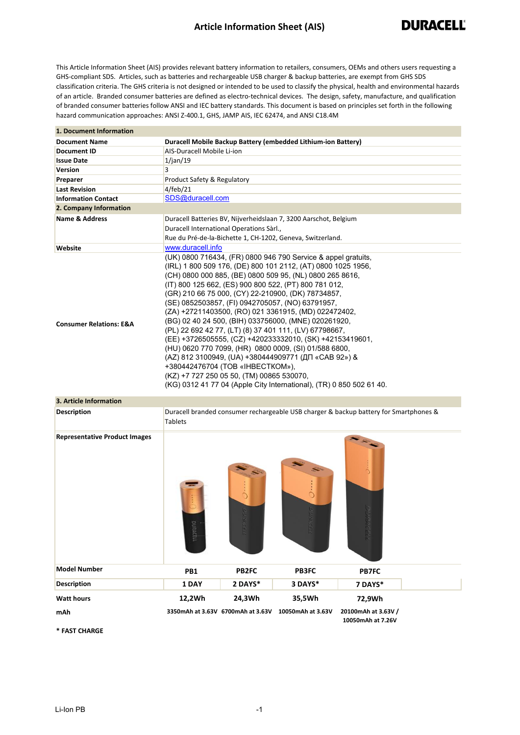## **Article Information Sheet (AIS)**

This Article Information Sheet (AIS) provides relevant battery information to retailers, consumers, OEMs and others users requesting a GHS-compliant SDS. Articles, such as batteries and rechargeable USB charger & backup batteries, are exempt from GHS SDS classification criteria. The GHS criteria is not designed or intended to be used to classify the physical, health and environmental hazards of an article. Branded consumer batteries are defined as electro-technical devices. The design, safety, manufacture, and qualification of branded consumer batteries follow ANSI and IEC battery standards. This document is based on principles set forth in the following hazard communication approaches: ANSI Z-400.1, GHS, JAMP AIS, IEC 62474, and ANSI C18.4M

| 1. Document Information            |                                                                                                                                                                                                                                                                                                                                                                                                                                                                                                                                                                                                                                                                                                                                                                                                                                                                              |
|------------------------------------|------------------------------------------------------------------------------------------------------------------------------------------------------------------------------------------------------------------------------------------------------------------------------------------------------------------------------------------------------------------------------------------------------------------------------------------------------------------------------------------------------------------------------------------------------------------------------------------------------------------------------------------------------------------------------------------------------------------------------------------------------------------------------------------------------------------------------------------------------------------------------|
| <b>Document Name</b>               | Duracell Mobile Backup Battery (embedded Lithium-ion Battery)                                                                                                                                                                                                                                                                                                                                                                                                                                                                                                                                                                                                                                                                                                                                                                                                                |
| <b>Document ID</b>                 | AIS-Duracell Mobile Li-ion                                                                                                                                                                                                                                                                                                                                                                                                                                                                                                                                                                                                                                                                                                                                                                                                                                                   |
| <b>Issue Date</b>                  | 1/ian/19                                                                                                                                                                                                                                                                                                                                                                                                                                                                                                                                                                                                                                                                                                                                                                                                                                                                     |
| <b>Version</b>                     | 3                                                                                                                                                                                                                                                                                                                                                                                                                                                                                                                                                                                                                                                                                                                                                                                                                                                                            |
| Preparer                           | Product Safety & Regulatory                                                                                                                                                                                                                                                                                                                                                                                                                                                                                                                                                                                                                                                                                                                                                                                                                                                  |
| <b>Last Revision</b>               | 4/feb/21                                                                                                                                                                                                                                                                                                                                                                                                                                                                                                                                                                                                                                                                                                                                                                                                                                                                     |
| <b>Information Contact</b>         | SDS@duracell.com                                                                                                                                                                                                                                                                                                                                                                                                                                                                                                                                                                                                                                                                                                                                                                                                                                                             |
| 2. Company Information             |                                                                                                                                                                                                                                                                                                                                                                                                                                                                                                                                                                                                                                                                                                                                                                                                                                                                              |
| <b>Name &amp; Address</b>          | Duracell Batteries BV, Nijverheidslaan 7, 3200 Aarschot, Belgium                                                                                                                                                                                                                                                                                                                                                                                                                                                                                                                                                                                                                                                                                                                                                                                                             |
|                                    | Duracell International Operations Sàrl.,                                                                                                                                                                                                                                                                                                                                                                                                                                                                                                                                                                                                                                                                                                                                                                                                                                     |
|                                    | Rue du Pré-de-la-Bichette 1, CH-1202, Geneva, Switzerland.                                                                                                                                                                                                                                                                                                                                                                                                                                                                                                                                                                                                                                                                                                                                                                                                                   |
| <b>Website</b>                     | www.duracell.info                                                                                                                                                                                                                                                                                                                                                                                                                                                                                                                                                                                                                                                                                                                                                                                                                                                            |
| <b>Consumer Relations: E&amp;A</b> | (UK) 0800 716434, (FR) 0800 946 790 Service & appel gratuits,<br>(IRL) 1 800 509 176, (DE) 800 101 2112, (AT) 0800 1025 1956,<br>(CH) 0800 000 885, (BE) 0800 509 95, (NL) 0800 265 8616,<br>(IT) 800 125 662, (ES) 900 800 522, (PT) 800 781 012,<br>(GR) 210 66 75 000, (CY) 22-210900, (DK) 78734857,<br>(SE) 0852503857, (FI) 0942705057, (NO) 63791957,<br>(ZA) +27211403500, (RO) 021 3361915, (MD) 022472402,<br>(BG) 02 40 24 500, (BIH) 033756000, (MNE) 020261920,<br>(PL) 22 692 42 77, (LT) (8) 37 401 111, (LV) 67798667,<br>(EE) +3726505555, (CZ) +420233332010, (SK) +42153419601,<br>(HU) 0620 770 7099, (HR) 0800 0009, (SI) 01/588 6800,<br>(AZ) 812 3100949, (UA) +380444909771 (ДП «САВ 92») &<br>+380442476704 (TOB «IHBECTKOM»),<br>(KZ) +7 727 250 05 50, (TM) 00865 530070,<br>(KG) 0312 41 77 04 (Apple City International), (TR) 0 850 502 61 40. |

## **3. Article Information**

| <b>Description</b>                   | Duracell branded consumer rechargeable USB charger & backup battery for Smartphones &<br><b>Tablets</b> |                                   |                               |                                          |  |
|--------------------------------------|---------------------------------------------------------------------------------------------------------|-----------------------------------|-------------------------------|------------------------------------------|--|
| <b>Representative Product Images</b> | puncent                                                                                                 | $\bigcirc$                        | $\mathbb{R}$<br>$\dot{\circ}$ |                                          |  |
| <b>Model Number</b>                  | PB1                                                                                                     | PB2FC                             | <b>PB3FC</b>                  | <b>PB7FC</b>                             |  |
| <b>Description</b>                   | 1 DAY                                                                                                   | 2 DAYS*                           | 3 DAYS*                       | 7 DAYS*                                  |  |
| <b>Watt hours</b>                    | 12,2Wh                                                                                                  | 24,3Wh                            | 35,5Wh                        | 72,9Wh                                   |  |
| mAh                                  |                                                                                                         | 3350mAh at 3.63V 6700mAh at 3.63V | 10050mAh at 3.63V             | 20100mAh at 3.63V /<br>10050mAh at 7.26V |  |

**\* FAST CHARGE**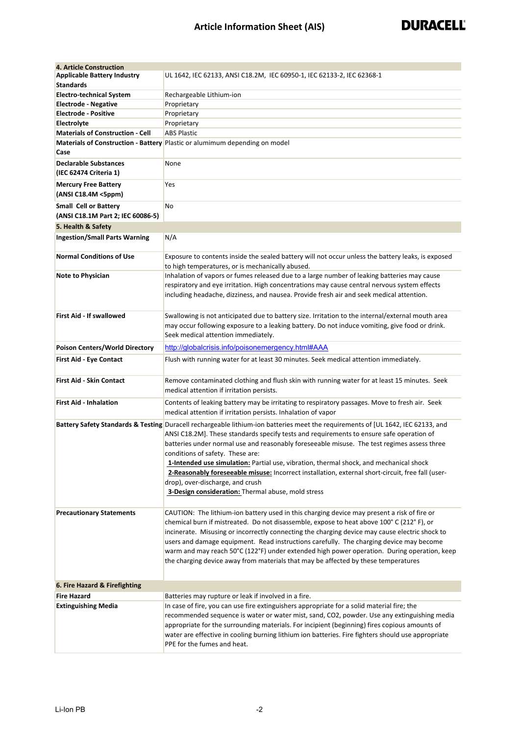| 4. Article Construction                                |                                                                                                                                                                                                                                                                                                                                                                                                                                                                                                                                                                                                                                                          |  |
|--------------------------------------------------------|----------------------------------------------------------------------------------------------------------------------------------------------------------------------------------------------------------------------------------------------------------------------------------------------------------------------------------------------------------------------------------------------------------------------------------------------------------------------------------------------------------------------------------------------------------------------------------------------------------------------------------------------------------|--|
| <b>Applicable Battery Industry</b>                     | UL 1642, IEC 62133, ANSI C18.2M, IEC 60950-1, IEC 62133-2, IEC 62368-1                                                                                                                                                                                                                                                                                                                                                                                                                                                                                                                                                                                   |  |
| <b>Standards</b>                                       |                                                                                                                                                                                                                                                                                                                                                                                                                                                                                                                                                                                                                                                          |  |
| <b>Electro-technical System</b>                        | Rechargeable Lithium-ion                                                                                                                                                                                                                                                                                                                                                                                                                                                                                                                                                                                                                                 |  |
| <b>Electrode - Negative</b>                            | Proprietary                                                                                                                                                                                                                                                                                                                                                                                                                                                                                                                                                                                                                                              |  |
| <b>Electrode - Positive</b>                            | Proprietary                                                                                                                                                                                                                                                                                                                                                                                                                                                                                                                                                                                                                                              |  |
| Electrolyte                                            | Proprietary                                                                                                                                                                                                                                                                                                                                                                                                                                                                                                                                                                                                                                              |  |
| <b>Materials of Construction - Cell</b>                | <b>ABS Plastic</b>                                                                                                                                                                                                                                                                                                                                                                                                                                                                                                                                                                                                                                       |  |
|                                                        | Materials of Construction - Battery Plastic or alumimum depending on model                                                                                                                                                                                                                                                                                                                                                                                                                                                                                                                                                                               |  |
| Case                                                   |                                                                                                                                                                                                                                                                                                                                                                                                                                                                                                                                                                                                                                                          |  |
| <b>Declarable Substances</b><br>(IEC 62474 Criteria 1) | None                                                                                                                                                                                                                                                                                                                                                                                                                                                                                                                                                                                                                                                     |  |
|                                                        |                                                                                                                                                                                                                                                                                                                                                                                                                                                                                                                                                                                                                                                          |  |
| <b>Mercury Free Battery</b><br>(ANSI C18.4M <5ppm)     | Yes                                                                                                                                                                                                                                                                                                                                                                                                                                                                                                                                                                                                                                                      |  |
| <b>Small Cell or Battery</b>                           | No                                                                                                                                                                                                                                                                                                                                                                                                                                                                                                                                                                                                                                                       |  |
| (ANSI C18.1M Part 2; IEC 60086-5)                      |                                                                                                                                                                                                                                                                                                                                                                                                                                                                                                                                                                                                                                                          |  |
| 5. Health & Safety                                     |                                                                                                                                                                                                                                                                                                                                                                                                                                                                                                                                                                                                                                                          |  |
| <b>Ingestion/Small Parts Warning</b>                   | N/A                                                                                                                                                                                                                                                                                                                                                                                                                                                                                                                                                                                                                                                      |  |
|                                                        |                                                                                                                                                                                                                                                                                                                                                                                                                                                                                                                                                                                                                                                          |  |
| <b>Normal Conditions of Use</b>                        | Exposure to contents inside the sealed battery will not occur unless the battery leaks, is exposed<br>to high temperatures, or is mechanically abused.                                                                                                                                                                                                                                                                                                                                                                                                                                                                                                   |  |
| <b>Note to Physician</b>                               | Inhalation of vapors or fumes released due to a large number of leaking batteries may cause<br>respiratory and eye irritation. High concentrations may cause central nervous system effects<br>including headache, dizziness, and nausea. Provide fresh air and seek medical attention.                                                                                                                                                                                                                                                                                                                                                                  |  |
| <b>First Aid - If swallowed</b>                        | Swallowing is not anticipated due to battery size. Irritation to the internal/external mouth area<br>may occur following exposure to a leaking battery. Do not induce vomiting, give food or drink.<br>Seek medical attention immediately.                                                                                                                                                                                                                                                                                                                                                                                                               |  |
| <b>Poison Centers/World Directory</b>                  | http://globalcrisis.info/poisonemergency.html#AAA                                                                                                                                                                                                                                                                                                                                                                                                                                                                                                                                                                                                        |  |
| <b>First Aid - Eye Contact</b>                         | Flush with running water for at least 30 minutes. Seek medical attention immediately.                                                                                                                                                                                                                                                                                                                                                                                                                                                                                                                                                                    |  |
|                                                        |                                                                                                                                                                                                                                                                                                                                                                                                                                                                                                                                                                                                                                                          |  |
| <b>First Aid - Skin Contact</b>                        | Remove contaminated clothing and flush skin with running water for at least 15 minutes. Seek<br>medical attention if irritation persists.                                                                                                                                                                                                                                                                                                                                                                                                                                                                                                                |  |
| <b>First Aid - Inhalation</b>                          | Contents of leaking battery may be irritating to respiratory passages. Move to fresh air. Seek<br>medical attention if irritation persists. Inhalation of vapor                                                                                                                                                                                                                                                                                                                                                                                                                                                                                          |  |
|                                                        | Battery Safety Standards & Testing Duracell rechargeable lithium-ion batteries meet the requirements of [UL 1642, IEC 62133, and<br>ANSI C18.2M]. These standards specify tests and requirements to ensure safe operation of<br>batteries under normal use and reasonably foreseeable misuse. The test regimes assess three<br>conditions of safety. These are:<br>1-Intended use simulation: Partial use, vibration, thermal shock, and mechanical shock<br>2-Reasonably foreseeable misuse: Incorrect installation, external short-circuit, free fall (user-<br>drop), over-discharge, and crush<br>3-Design consideration: Thermal abuse, mold stress |  |
| <b>Precautionary Statements</b>                        | CAUTION: The lithium-ion battery used in this charging device may present a risk of fire or<br>chemical burn if mistreated. Do not disassemble, expose to heat above 100° C (212°F), or<br>incinerate. Misusing or incorrectly connecting the charging device may cause electric shock to<br>users and damage equipment. Read instructions carefully. The charging device may become<br>warm and may reach 50°C (122°F) under extended high power operation. During operation, keep<br>the charging device away from materials that may be affected by these temperatures                                                                                |  |
| 6. Fire Hazard & Firefighting                          |                                                                                                                                                                                                                                                                                                                                                                                                                                                                                                                                                                                                                                                          |  |
| <b>Fire Hazard</b>                                     | Batteries may rupture or leak if involved in a fire.                                                                                                                                                                                                                                                                                                                                                                                                                                                                                                                                                                                                     |  |
| <b>Extinguishing Media</b>                             | In case of fire, you can use fire extinguishers appropriate for a solid material fire; the<br>recommended sequence is water or water mist, sand, CO2, powder. Use any extinguishing media<br>appropriate for the surrounding materials. For incipient (beginning) fires copious amounts of<br>water are effective in cooling burning lithium ion batteries. Fire fighters should use appropriate<br>PPE for the fumes and heat.                                                                                                                                                                                                                          |  |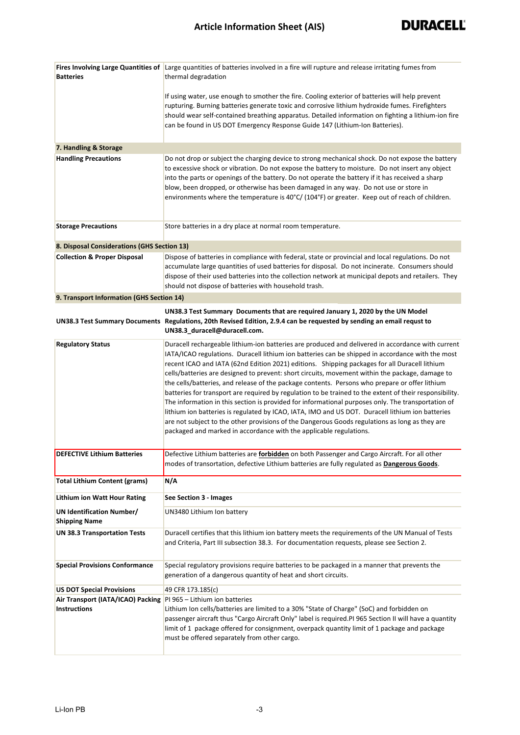|                                                          | Fires Involving Large Quantities of Large quantities of batteries involved in a fire will rupture and release irritating fumes from                                                                                                                                                                                                                                                                                                                                                                                                                                                                                                                                                                                                                                                                                                                                                                                                                                                                      |
|----------------------------------------------------------|----------------------------------------------------------------------------------------------------------------------------------------------------------------------------------------------------------------------------------------------------------------------------------------------------------------------------------------------------------------------------------------------------------------------------------------------------------------------------------------------------------------------------------------------------------------------------------------------------------------------------------------------------------------------------------------------------------------------------------------------------------------------------------------------------------------------------------------------------------------------------------------------------------------------------------------------------------------------------------------------------------|
| <b>Batteries</b>                                         | thermal degradation                                                                                                                                                                                                                                                                                                                                                                                                                                                                                                                                                                                                                                                                                                                                                                                                                                                                                                                                                                                      |
|                                                          | If using water, use enough to smother the fire. Cooling exterior of batteries will help prevent<br>rupturing. Burning batteries generate toxic and corrosive lithium hydroxide fumes. Firefighters<br>should wear self-contained breathing apparatus. Detailed information on fighting a lithium-ion fire<br>can be found in US DOT Emergency Response Guide 147 (Lithium-Ion Batteries).                                                                                                                                                                                                                                                                                                                                                                                                                                                                                                                                                                                                                |
| 7. Handling & Storage                                    |                                                                                                                                                                                                                                                                                                                                                                                                                                                                                                                                                                                                                                                                                                                                                                                                                                                                                                                                                                                                          |
| <b>Handling Precautions</b>                              | Do not drop or subject the charging device to strong mechanical shock. Do not expose the battery<br>to excessive shock or vibration. Do not expose the battery to moisture. Do not insert any object<br>into the parts or openings of the battery. Do not operate the battery if it has received a sharp<br>blow, been dropped, or otherwise has been damaged in any way. Do not use or store in<br>environments where the temperature is 40°C/ (104°F) or greater. Keep out of reach of children.                                                                                                                                                                                                                                                                                                                                                                                                                                                                                                       |
| <b>Storage Precautions</b>                               | Store batteries in a dry place at normal room temperature.                                                                                                                                                                                                                                                                                                                                                                                                                                                                                                                                                                                                                                                                                                                                                                                                                                                                                                                                               |
| 8. Disposal Considerations (GHS Section 13)              |                                                                                                                                                                                                                                                                                                                                                                                                                                                                                                                                                                                                                                                                                                                                                                                                                                                                                                                                                                                                          |
| <b>Collection &amp; Proper Disposal</b>                  | Dispose of batteries in compliance with federal, state or provincial and local regulations. Do not<br>accumulate large quantities of used batteries for disposal. Do not incinerate. Consumers should<br>dispose of their used batteries into the collection network at municipal depots and retailers. They<br>should not dispose of batteries with household trash.                                                                                                                                                                                                                                                                                                                                                                                                                                                                                                                                                                                                                                    |
| 9. Transport Information (GHS Section 14)                |                                                                                                                                                                                                                                                                                                                                                                                                                                                                                                                                                                                                                                                                                                                                                                                                                                                                                                                                                                                                          |
|                                                          | UN38.3 Test Summary Documents that are required January 1, 2020 by the UN Model<br>UN38.3 Test Summary Documents Regulations, 20th Revised Edition, 2.9.4 can be requested by sending an email requst to<br>UN38.3_duracell@duracell.com.                                                                                                                                                                                                                                                                                                                                                                                                                                                                                                                                                                                                                                                                                                                                                                |
| <b>Regulatory Status</b>                                 | Duracell rechargeable lithium-ion batteries are produced and delivered in accordance with current<br>IATA/ICAO regulations. Duracell lithium ion batteries can be shipped in accordance with the most<br>recent ICAO and IATA (62nd Edition 2021) editions. Shipping packages for all Duracell lithium<br>cells/batteries are designed to prevent: short circuits, movement within the package, damage to<br>the cells/batteries, and release of the package contents. Persons who prepare or offer lithium<br>batteries for transport are required by regulation to be trained to the extent of their responsibility.<br>The information in this section is provided for informational purposes only. The transportation of<br>lithium ion batteries is regulated by ICAO, IATA, IMO and US DOT. Duracell lithium ion batteries<br>are not subject to the other provisions of the Dangerous Goods regulations as long as they are<br>packaged and marked in accordance with the applicable regulations. |
| <b>DEFECTIVE Lithium Batteries</b>                       | Defective Lithium batteries are forbidden on both Passenger and Cargo Aircraft. For all other<br>modes of transortation, defective Lithium batteries are fully regulated as Dangerous Goods.                                                                                                                                                                                                                                                                                                                                                                                                                                                                                                                                                                                                                                                                                                                                                                                                             |
| <b>Total Lithium Content (grams)</b>                     | N/A                                                                                                                                                                                                                                                                                                                                                                                                                                                                                                                                                                                                                                                                                                                                                                                                                                                                                                                                                                                                      |
| <b>Lithium ion Watt Hour Rating</b>                      | See Section 3 - Images                                                                                                                                                                                                                                                                                                                                                                                                                                                                                                                                                                                                                                                                                                                                                                                                                                                                                                                                                                                   |
| <b>UN Identification Number/</b><br><b>Shipping Name</b> | UN3480 Lithium Ion battery                                                                                                                                                                                                                                                                                                                                                                                                                                                                                                                                                                                                                                                                                                                                                                                                                                                                                                                                                                               |
| <b>UN 38.3 Transportation Tests</b>                      | Duracell certifies that this lithium ion battery meets the requirements of the UN Manual of Tests<br>and Criteria, Part III subsection 38.3. For documentation requests, please see Section 2.                                                                                                                                                                                                                                                                                                                                                                                                                                                                                                                                                                                                                                                                                                                                                                                                           |
| <b>Special Provisions Conformance</b>                    | Special regulatory provisions require batteries to be packaged in a manner that prevents the<br>generation of a dangerous quantity of heat and short circuits.                                                                                                                                                                                                                                                                                                                                                                                                                                                                                                                                                                                                                                                                                                                                                                                                                                           |
| <b>US DOT Special Provisions</b>                         | 49 CFR 173.185(c)                                                                                                                                                                                                                                                                                                                                                                                                                                                                                                                                                                                                                                                                                                                                                                                                                                                                                                                                                                                        |
| Air Transport (IATA/ICAO) Packing                        | PI 965 - Lithium ion batteries                                                                                                                                                                                                                                                                                                                                                                                                                                                                                                                                                                                                                                                                                                                                                                                                                                                                                                                                                                           |
| <b>Instructions</b>                                      | Lithium Ion cells/batteries are limited to a 30% "State of Charge" (SoC) and forbidden on<br>passenger aircraft thus "Cargo Aircraft Only" label is required.PI 965 Section II will have a quantity<br>limit of 1 package offered for consignment, overpack quantity limit of 1 package and package<br>must be offered separately from other cargo.                                                                                                                                                                                                                                                                                                                                                                                                                                                                                                                                                                                                                                                      |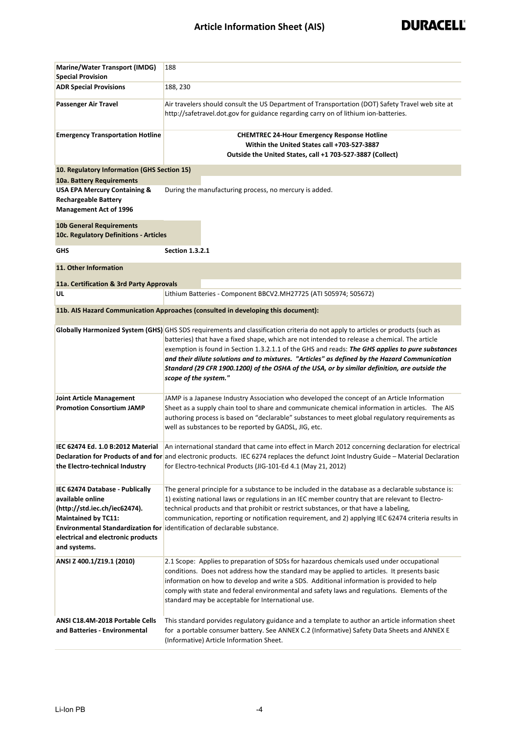| Marine/Water Transport (IMDG)<br><b>Special Provision</b>                                                                                                                | 188                                                                                                                                                                                                                                                                                                                                                                                                                                                                                                                                                             |  |  |
|--------------------------------------------------------------------------------------------------------------------------------------------------------------------------|-----------------------------------------------------------------------------------------------------------------------------------------------------------------------------------------------------------------------------------------------------------------------------------------------------------------------------------------------------------------------------------------------------------------------------------------------------------------------------------------------------------------------------------------------------------------|--|--|
| <b>ADR Special Provisions</b>                                                                                                                                            | 188, 230                                                                                                                                                                                                                                                                                                                                                                                                                                                                                                                                                        |  |  |
| Passenger Air Travel                                                                                                                                                     | Air travelers should consult the US Department of Transportation (DOT) Safety Travel web site at<br>http://safetravel.dot.gov for guidance regarding carry on of lithium ion-batteries.                                                                                                                                                                                                                                                                                                                                                                         |  |  |
| <b>Emergency Transportation Hotline</b>                                                                                                                                  | <b>CHEMTREC 24-Hour Emergency Response Hotline</b><br>Within the United States call +703-527-3887<br>Outside the United States, call +1 703-527-3887 (Collect)                                                                                                                                                                                                                                                                                                                                                                                                  |  |  |
| 10. Regulatory Information (GHS Section 15)                                                                                                                              |                                                                                                                                                                                                                                                                                                                                                                                                                                                                                                                                                                 |  |  |
| 10a. Battery Requirements                                                                                                                                                |                                                                                                                                                                                                                                                                                                                                                                                                                                                                                                                                                                 |  |  |
| <b>USA EPA Mercury Containing &amp;</b><br><b>Rechargeable Battery</b><br><b>Management Act of 1996</b>                                                                  | During the manufacturing process, no mercury is added.                                                                                                                                                                                                                                                                                                                                                                                                                                                                                                          |  |  |
| <b>10b General Requirements</b><br>10c. Regulatory Definitions - Articles                                                                                                |                                                                                                                                                                                                                                                                                                                                                                                                                                                                                                                                                                 |  |  |
| GHS                                                                                                                                                                      | <b>Section 1.3.2.1</b>                                                                                                                                                                                                                                                                                                                                                                                                                                                                                                                                          |  |  |
| 11. Other Information                                                                                                                                                    |                                                                                                                                                                                                                                                                                                                                                                                                                                                                                                                                                                 |  |  |
| 11a. Certification & 3rd Party Approvals                                                                                                                                 |                                                                                                                                                                                                                                                                                                                                                                                                                                                                                                                                                                 |  |  |
| UL                                                                                                                                                                       | Lithium Batteries - Component BBCV2.MH27725 (ATI 505974; 505672)                                                                                                                                                                                                                                                                                                                                                                                                                                                                                                |  |  |
|                                                                                                                                                                          | 11b. AIS Hazard Communication Approaches (consulted in developing this document):                                                                                                                                                                                                                                                                                                                                                                                                                                                                               |  |  |
|                                                                                                                                                                          | Globally Harmonized System (GHS) GHS SDS requirements and classification criteria do not apply to articles or products (such as<br>batteries) that have a fixed shape, which are not intended to release a chemical. The article<br>exemption is found in Section 1.3.2.1.1 of the GHS and reads: The GHS applies to pure substances<br>and their dilute solutions and to mixtures. "Articles" as defined by the Hazard Communication<br>Standard (29 CFR 1900.1200) of the OSHA of the USA, or by similar definition, are outside the<br>scope of the system." |  |  |
| <b>Joint Article Management</b><br><b>Promotion Consortium JAMP</b>                                                                                                      | JAMP is a Japanese Industry Association who developed the concept of an Article Information<br>Sheet as a supply chain tool to share and communicate chemical information in articles. The AIS<br>authoring process is based on "declarable" substances to meet global regulatory requirements as<br>well as substances to be reported by GADSL, JIG, etc.                                                                                                                                                                                                      |  |  |
| IEC 62474 Ed. 1.0 B:2012 Material<br>the Electro-technical Industry                                                                                                      | An international standard that came into effect in March 2012 concerning declaration for electrical<br>Declaration for Products of and for and electronic products. IEC 6274 replaces the defunct Joint Industry Guide - Material Declaration<br>for Electro-technical Products (JIG-101-Ed 4.1 (May 21, 2012)                                                                                                                                                                                                                                                  |  |  |
| IEC 62474 Database - Publically<br>available online<br>(http://std.iec.ch/iec62474).<br><b>Maintained by TC11:</b><br>electrical and electronic products<br>and systems. | The general principle for a substance to be included in the database as a declarable substance is:<br>1) existing national laws or regulations in an IEC member country that are relevant to Electro-<br>technical products and that prohibit or restrict substances, or that have a labeling,<br>communication, reporting or notification requirement, and 2) applying IEC 62474 criteria results in<br>Environmental Standardization for identification of declarable substance.                                                                              |  |  |
| ANSI Z 400.1/Z19.1 (2010)                                                                                                                                                | 2.1 Scope: Applies to preparation of SDSs for hazardous chemicals used under occupational<br>conditions. Does not address how the standard may be applied to articles. It presents basic<br>information on how to develop and write a SDS. Additional information is provided to help<br>comply with state and federal environmental and safety laws and regulations. Elements of the<br>standard may be acceptable for International use.                                                                                                                      |  |  |
| ANSI C18.4M-2018 Portable Cells<br>and Batteries - Environmental                                                                                                         | This standard porvides regulatory guidance and a template to author an article information sheet<br>for a portable consumer battery. See ANNEX C.2 (Informative) Safety Data Sheets and ANNEX E<br>(Informative) Article Information Sheet.                                                                                                                                                                                                                                                                                                                     |  |  |